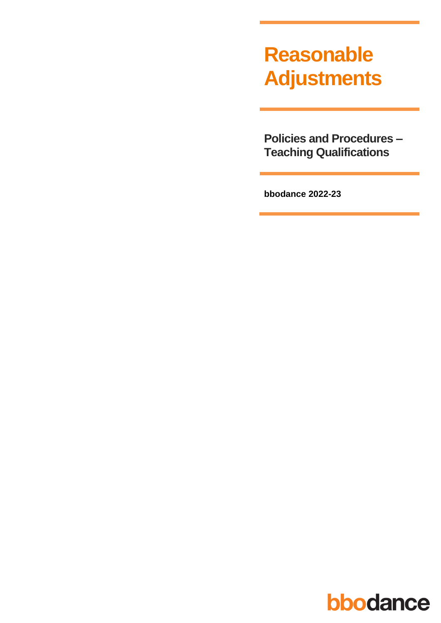# **Reasonable Adjustments**

**Policies and Procedures -Teaching Qualifications** 

bbodance 2022-23

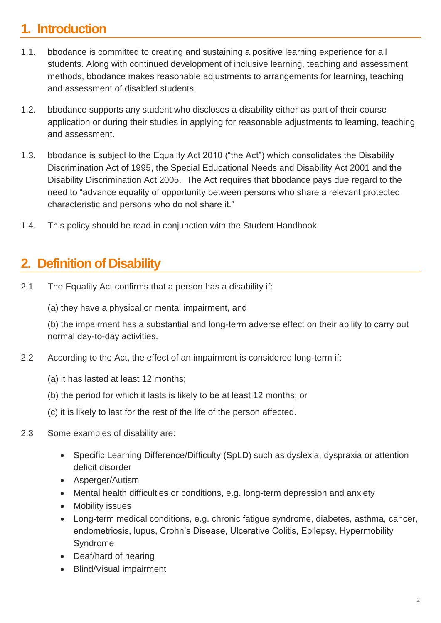## **1. Introduction**

- 1.1. bbodance is committed to creating and sustaining a positive learning experience for all students. Along with continued development of inclusive learning, teaching and assessment methods, bbodance makes reasonable adjustments to arrangements for learning, teaching and assessment of disabled students.
- 1.2. bbodance supports any student who discloses a disability either as part of their course application or during their studies in applying for reasonable adjustments to learning, teaching and assessment.
- 1.3. bbodance is subject to the Equality Act 2010 ("the Act") which consolidates the Disability Discrimination Act of 1995, the Special Educational Needs and Disability Act 2001 and the Disability Discrimination Act 2005. The Act requires that bbodance pays due regard to the need to "advance equality of opportunity between persons who share a relevant protected characteristic and persons who do not share it."
- 1.4. This policy should be read in conjunction with the Student Handbook.

#### **2. Definition of Disability**

- 2.1 The Equality Act confirms that a person has a disability if:
	- (a) they have a physical or mental impairment, and

(b) the impairment has a substantial and long-term adverse effect on their ability to carry out normal day-to-day activities.

- 2.2 According to the Act, the effect of an impairment is considered long-term if:
	- (a) it has lasted at least 12 months;
	- (b) the period for which it lasts is likely to be at least 12 months; or
	- (c) it is likely to last for the rest of the life of the person affected.
- 2.3 Some examples of disability are:
	- Specific Learning Difference/Difficulty (SpLD) such as dyslexia, dyspraxia or attention deficit disorder
	- Asperger/Autism
	- Mental health difficulties or conditions, e.g. long-term depression and anxiety
	- Mobility issues
	- Long-term medical conditions, e.g. chronic fatigue syndrome, diabetes, asthma, cancer, endometriosis, lupus, Crohn's Disease, Ulcerative Colitis, Epilepsy, Hypermobility Syndrome
	- Deaf/hard of hearing
	- Blind/Visual impairment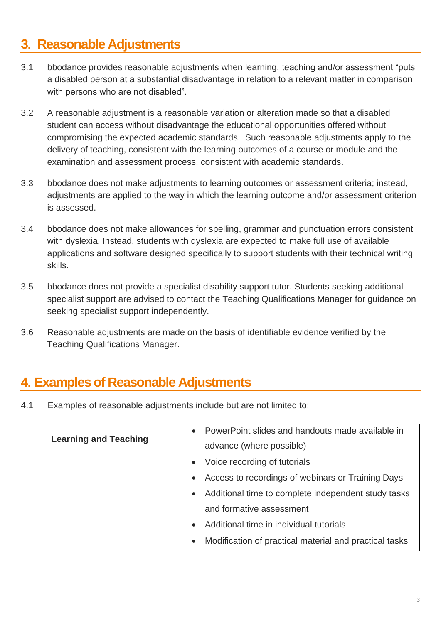#### **3. Reasonable Adjustments**

- 3.1 bbodance provides reasonable adjustments when learning, teaching and/or assessment "puts a disabled person at a substantial disadvantage in relation to a relevant matter in comparison with persons who are not disabled".
- 3.2 A reasonable adjustment is a reasonable variation or alteration made so that a disabled student can access without disadvantage the educational opportunities offered without compromising the expected academic standards. Such reasonable adjustments apply to the delivery of teaching, consistent with the learning outcomes of a course or module and the examination and assessment process, consistent with academic standards.
- 3.3 bbodance does not make adjustments to learning outcomes or assessment criteria; instead, adjustments are applied to the way in which the learning outcome and/or assessment criterion is assessed.
- 3.4 bbodance does not make allowances for spelling, grammar and punctuation errors consistent with dyslexia. Instead, students with dyslexia are expected to make full use of available applications and software designed specifically to support students with their technical writing skills.
- 3.5 bbodance does not provide a specialist disability support tutor. Students seeking additional specialist support are advised to contact the Teaching Qualifications Manager for guidance on seeking specialist support independently.
- 3.6 Reasonable adjustments are made on the basis of identifiable evidence verified by the Teaching Qualifications Manager.

#### **4. Examples of Reasonable Adjustments**

4.1 Examples of reasonable adjustments include but are not limited to:

| • PowerPoint slides and handouts made available in                  |
|---------------------------------------------------------------------|
| advance (where possible)                                            |
| Voice recording of tutorials<br>$\bullet$                           |
| Access to recordings of webinars or Training Days<br>$\bullet$      |
| Additional time to complete independent study tasks<br>$\bullet$    |
| and formative assessment                                            |
| Additional time in individual tutorials                             |
| Modification of practical material and practical tasks<br>$\bullet$ |
|                                                                     |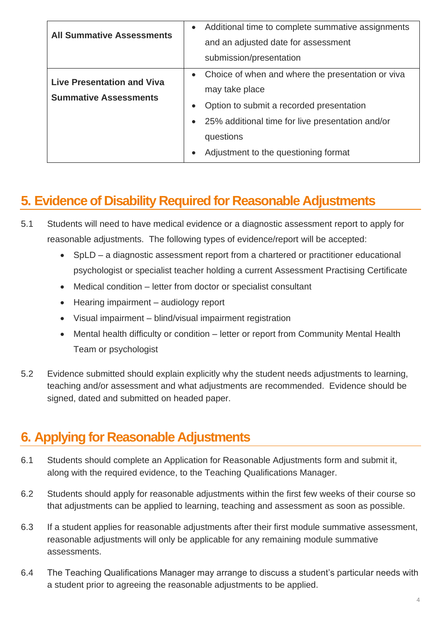| <b>All Summative Assessments</b>                                  | Additional time to complete summative assignments<br>$\bullet$<br>and an adjusted date for assessment<br>submission/presentation                                                                                                      |
|-------------------------------------------------------------------|---------------------------------------------------------------------------------------------------------------------------------------------------------------------------------------------------------------------------------------|
| <b>Live Presentation and Viva</b><br><b>Summative Assessments</b> | Choice of when and where the presentation or viva<br>$\bullet$<br>may take place<br>Option to submit a recorded presentation<br>25% additional time for live presentation and/or<br>questions<br>Adjustment to the questioning format |

## **5. Evidence of Disability Required for Reasonable Adjustments**

- 5.1 Students will need to have medical evidence or a diagnostic assessment report to apply for reasonable adjustments. The following types of evidence/report will be accepted:
	- SpLD a diagnostic assessment report from a chartered or practitioner educational psychologist or specialist teacher holding a current Assessment Practising Certificate
	- Medical condition letter from doctor or specialist consultant
	- Hearing impairment audiology report
	- Visual impairment blind/visual impairment registration
	- Mental health difficulty or condition letter or report from Community Mental Health Team or psychologist
- 5.2 Evidence submitted should explain explicitly why the student needs adjustments to learning, teaching and/or assessment and what adjustments are recommended. Evidence should be signed, dated and submitted on headed paper.

### **6. Applying for Reasonable Adjustments**

- 6.1 Students should complete an Application for Reasonable Adjustments form and submit it, along with the required evidence, to the Teaching Qualifications Manager.
- 6.2 Students should apply for reasonable adjustments within the first few weeks of their course so that adjustments can be applied to learning, teaching and assessment as soon as possible.
- 6.3 If a student applies for reasonable adjustments after their first module summative assessment, reasonable adjustments will only be applicable for any remaining module summative assessments.
- 6.4 The Teaching Qualifications Manager may arrange to discuss a student's particular needs with a student prior to agreeing the reasonable adjustments to be applied.